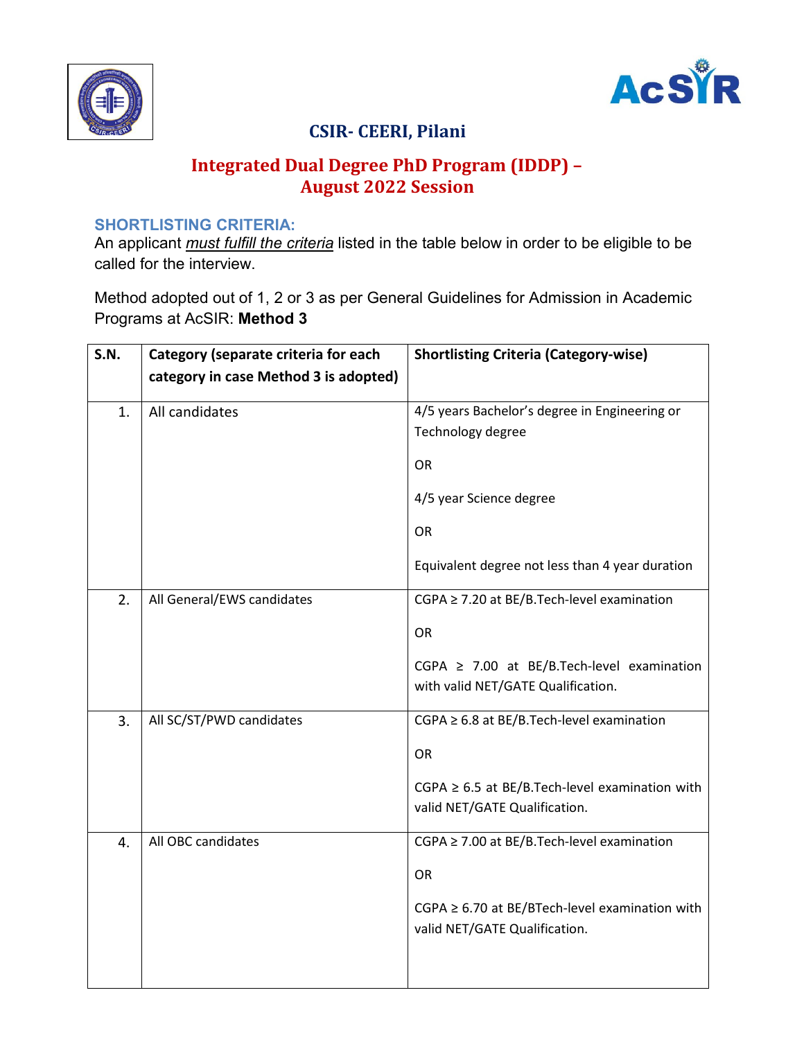



# CSIR- CEERI, Pilani

## Integrated Dual Degree PhD Program (IDDP) – August 2022 Session

#### SHORTLISTING CRITERIA:

An applicant *must fulfill the criteria* listed in the table below in order to be eligible to be called for the interview.

Method adopted out of 1, 2 or 3 as per General Guidelines for Admission in Academic Programs at AcSIR: Method 3

| <b>S.N.</b> | Category (separate criteria for each  | <b>Shortlisting Criteria (Category-wise)</b>                                          |
|-------------|---------------------------------------|---------------------------------------------------------------------------------------|
|             | category in case Method 3 is adopted) |                                                                                       |
| 1.          | All candidates                        | 4/5 years Bachelor's degree in Engineering or<br>Technology degree                    |
|             |                                       | <b>OR</b>                                                                             |
|             |                                       | 4/5 year Science degree                                                               |
|             |                                       | <b>OR</b>                                                                             |
|             |                                       | Equivalent degree not less than 4 year duration                                       |
| 2.          | All General/EWS candidates            | CGPA ≥ 7.20 at BE/B.Tech-level examination                                            |
|             |                                       | <b>OR</b>                                                                             |
|             |                                       | CGPA $\geq$ 7.00 at BE/B.Tech-level examination<br>with valid NET/GATE Qualification. |
| 3.          | All SC/ST/PWD candidates              | $CGPA \geq 6.8$ at BE/B. Tech-level examination                                       |
|             |                                       | OR                                                                                    |
|             |                                       | $CGPA \geq 6.5$ at BE/B.Tech-level examination with<br>valid NET/GATE Qualification.  |
| 4.          | All OBC candidates                    | CGPA ≥ 7.00 at BE/B.Tech-level examination                                            |
|             |                                       | OR                                                                                    |
|             |                                       | $CGPA \geq 6.70$ at BE/BTech-level examination with<br>valid NET/GATE Qualification.  |
|             |                                       |                                                                                       |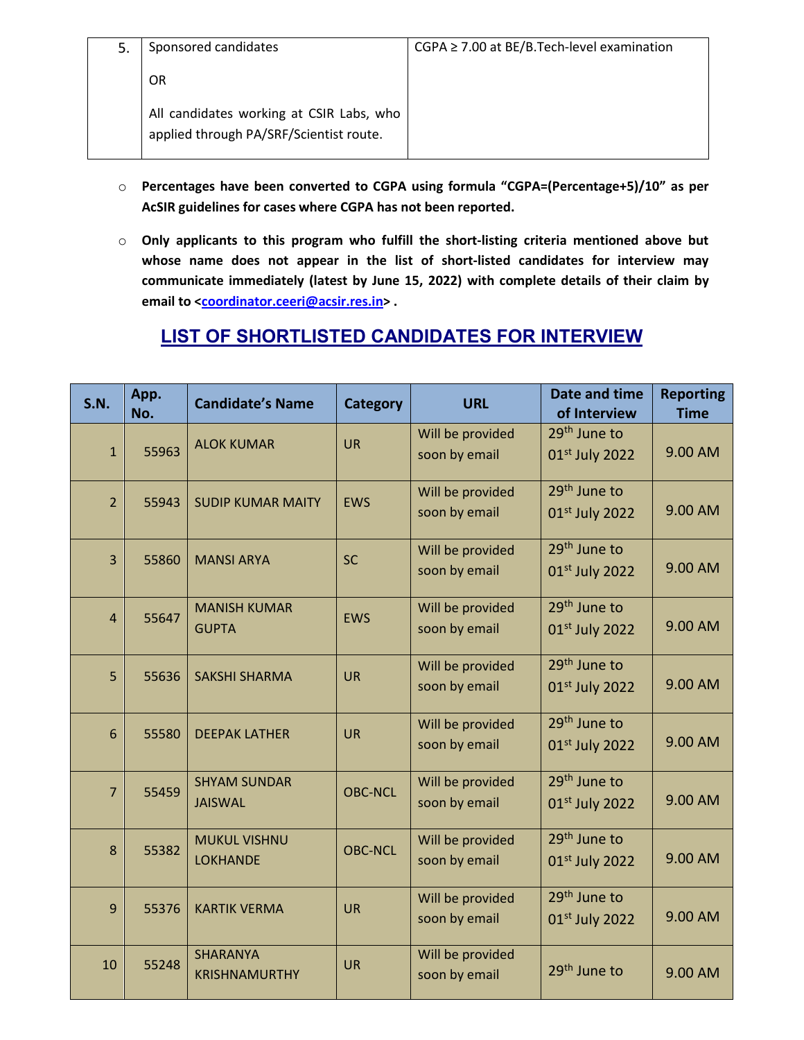| 5. | Sponsored candidates                                                                | $CGPA \geq 7.00$ at BE/B.Tech-level examination |
|----|-------------------------------------------------------------------------------------|-------------------------------------------------|
|    | OR                                                                                  |                                                 |
|    | All candidates working at CSIR Labs, who<br>applied through PA/SRF/Scientist route. |                                                 |

- o Percentages have been converted to CGPA using formula "CGPA=(Percentage+5)/10" as per AcSIR guidelines for cases where CGPA has not been reported.
- o Only applicants to this program who fulfill the short-listing criteria mentioned above but whose name does not appear in the list of short-listed candidates for interview may communicate immediately (latest by June 15, 2022) with complete details of their claim by email to <coordinator.ceeri@acsir.res.in>.

### LIST OF SHORTLISTED CANDIDATES FOR INTERVIEW

| S.N.           | App.<br>No. | <b>Candidate's Name</b>                 | <b>Category</b> | <b>URL</b>                        | Date and time<br>of Interview              | <b>Reporting</b><br><b>Time</b> |
|----------------|-------------|-----------------------------------------|-----------------|-----------------------------------|--------------------------------------------|---------------------------------|
| $\mathbf{1}$   | 55963       | <b>ALOK KUMAR</b>                       | <b>UR</b>       | Will be provided<br>soon by email | 29 <sup>th</sup> June to<br>01st July 2022 | 9.00 AM                         |
| $\overline{2}$ | 55943       | <b>SUDIP KUMAR MAITY</b>                | <b>EWS</b>      | Will be provided<br>soon by email | 29 <sup>th</sup> June to<br>01st July 2022 | 9.00 AM                         |
| $\overline{3}$ | 55860       | <b>MANSI ARYA</b>                       | <b>SC</b>       | Will be provided<br>soon by email | 29 <sup>th</sup> June to<br>01st July 2022 | 9.00 AM                         |
| $\overline{4}$ | 55647       | <b>MANISH KUMAR</b><br><b>GUPTA</b>     | <b>EWS</b>      | Will be provided<br>soon by email | 29 <sup>th</sup> June to<br>01st July 2022 | 9.00 AM                         |
| 5              | 55636       | <b>SAKSHI SHARMA</b>                    | <b>UR</b>       | Will be provided<br>soon by email | 29 <sup>th</sup> June to<br>01st July 2022 | 9.00 AM                         |
| 6              | 55580       | <b>DEEPAK LATHER</b>                    | <b>UR</b>       | Will be provided<br>soon by email | 29 <sup>th</sup> June to<br>01st July 2022 | 9.00 AM                         |
| $\overline{7}$ | 55459       | <b>SHYAM SUNDAR</b><br><b>JAISWAL</b>   | <b>OBC-NCL</b>  | Will be provided<br>soon by email | 29 <sup>th</sup> June to<br>01st July 2022 | 9.00 AM                         |
| 8              | 55382       | <b>MUKUL VISHNU</b><br><b>LOKHANDE</b>  | <b>OBC-NCL</b>  | Will be provided<br>soon by email | 29 <sup>th</sup> June to<br>01st July 2022 | 9.00 AM                         |
| $\overline{9}$ | 55376       | <b>KARTIK VERMA</b>                     | <b>UR</b>       | Will be provided<br>soon by email | 29 <sup>th</sup> June to<br>01st July 2022 | 9.00 AM                         |
| 10             | 55248       | <b>SHARANYA</b><br><b>KRISHNAMURTHY</b> | <b>UR</b>       | Will be provided<br>soon by email | 29 <sup>th</sup> June to                   | 9.00 AM                         |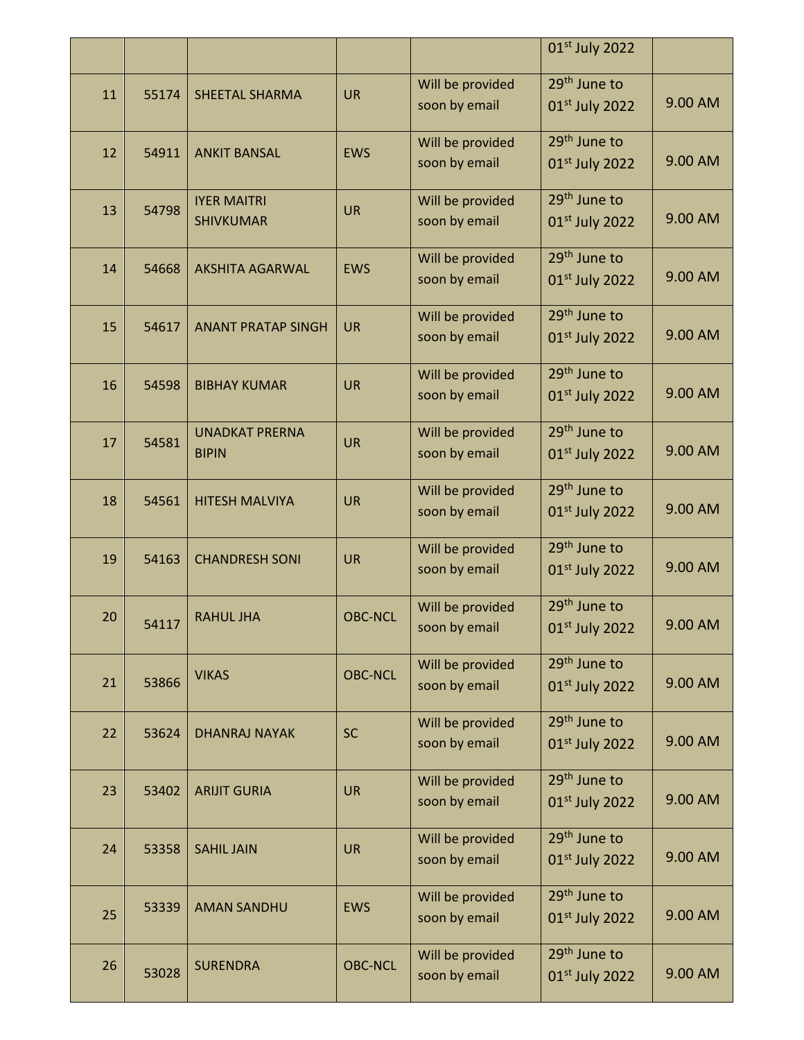|    |       |                                        |                |                                   | 01st July 2022                                         |         |
|----|-------|----------------------------------------|----------------|-----------------------------------|--------------------------------------------------------|---------|
| 11 | 55174 | <b>SHEETAL SHARMA</b>                  | <b>UR</b>      | Will be provided<br>soon by email | 29 <sup>th</sup> June to<br>01st July 2022             | 9.00 AM |
|    |       |                                        |                | Will be provided                  | 29 <sup>th</sup> June to                               |         |
| 12 | 54911 | <b>ANKIT BANSAL</b>                    | <b>EWS</b>     | soon by email                     | 01 <sup>st</sup> July 2022                             | 9.00 AM |
| 13 | 54798 | <b>IYER MAITRI</b><br><b>SHIVKUMAR</b> | <b>UR</b>      | Will be provided<br>soon by email | 29 <sup>th</sup> June to<br>01st July 2022             | 9.00 AM |
| 14 | 54668 | <b>AKSHITA AGARWAL</b>                 | <b>EWS</b>     | Will be provided<br>soon by email | 29 <sup>th</sup> June to<br>$01st$ July 2022           | 9.00 AM |
| 15 | 54617 | <b>ANANT PRATAP SINGH</b>              | <b>UR</b>      | Will be provided<br>soon by email | 29 <sup>th</sup> June to<br>$01st$ July 2022           | 9.00 AM |
| 16 | 54598 | <b>BIBHAY KUMAR</b>                    | <b>UR</b>      | Will be provided<br>soon by email | 29 <sup>th</sup> June to<br>01st July 2022             | 9.00 AM |
| 17 | 54581 | <b>UNADKAT PRERNA</b><br><b>BIPIN</b>  | <b>UR</b>      | Will be provided<br>soon by email | 29 <sup>th</sup> June to<br>01st July 2022             | 9.00 AM |
| 18 | 54561 | <b>HITESH MALVIYA</b>                  | <b>UR</b>      | Will be provided<br>soon by email | 29 <sup>th</sup> June to<br>01st July 2022             | 9.00 AM |
| 19 | 54163 | <b>CHANDRESH SONI</b>                  | <b>UR</b>      | Will be provided<br>soon by email | 29 <sup>th</sup> June to<br>$01st$ July 2022           | 9.00 AM |
| 20 | 54117 | <b>RAHUL JHA</b>                       | <b>OBC-NCL</b> | Will be provided<br>soon by email | 29 <sup>th</sup> June to<br>01st July 2022             | 9.00 AM |
| 21 | 53866 | <b>VIKAS</b>                           | <b>OBC-NCL</b> | Will be provided<br>soon by email | 29 <sup>th</sup> June to<br>01st July 2022             | 9.00 AM |
| 22 | 53624 | <b>DHANRAJ NAYAK</b>                   | <b>SC</b>      | Will be provided<br>soon by email | 29 <sup>th</sup> June to<br>01st July 2022             | 9.00 AM |
| 23 | 53402 | <b>ARIJIT GURIA</b>                    | <b>UR</b>      | Will be provided<br>soon by email | 29 <sup>th</sup> June to<br>01st July 2022             | 9.00 AM |
| 24 | 53358 | <b>SAHIL JAIN</b>                      | <b>UR</b>      | Will be provided<br>soon by email | 29 <sup>th</sup> June to<br>01st July 2022             | 9.00 AM |
| 25 | 53339 | <b>AMAN SANDHU</b>                     | <b>EWS</b>     | Will be provided<br>soon by email | 29 <sup>th</sup> June to<br>01st July 2022             | 9.00 AM |
| 26 | 53028 | <b>SURENDRA</b>                        | <b>OBC-NCL</b> | Will be provided<br>soon by email | 29 <sup>th</sup> June to<br>01 <sup>st</sup> July 2022 | 9.00 AM |